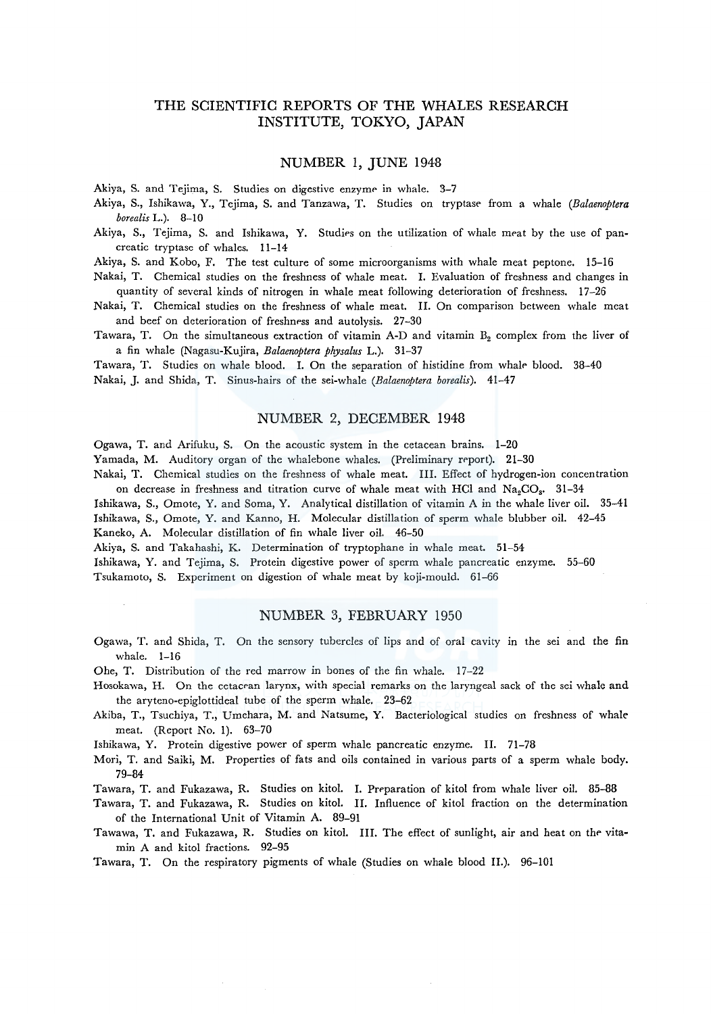# THE SCIENTIFIC REPORTS OF THE WHALES RESEARCH INSTITUTE, TOKYO, JAPAN

#### NUMBER 1, JUNE 1948

Akiya, S. and Tejima, S. Studies on digestive enzyme in whale. 3-7

Akiya, S., Ishikawa, Y., Tejima, S. and Tanzawa, T. Studies on tryptase from a whale *(Balaenoptera borealis* L.). 8-10

Akiya, S., Tejima, S. and Ishikawa, Y. Studies on the utilization of whale meat by the use of pancreatic tryptase of whales. 11-14

Akiya, S. and Kobo, F. The test culture of some microorganisms with whale meat peptone. 15-16

Nakai, T. Chemical studies on the freshness of whale meat. I. Evaluation of freshness and changes in quantity of several kinds of nitrogen in whale meat following deterioration of freshness. 17-26

- Nakai, T. Chemical studies on the freshness of whale meat. II. On comparison between whale meat and beef on deterioration of freshness and autolysis. 27-30
- Tawara, T. On the simultaneous extraction of vitamin A-D and vitamin B<sub>2</sub> complex from the liver of a fin whale (Nagasu-Kujira, *Balaenoptera physalus* L.). 31-37

Tawara, T. Studies on whale blood. I. On the separation of histidine from whale blood. 38-40 Nakai, J. and Shida, T. Sinus-hairs of the sei-whale *(Balaenoptera borealis).* 41-47

# NUMBER 2, DECEMBER 1948

Ogawa, T. and Arifuku, S. On the acoustic system in the cetacean brains. 1-20

Yamada, M. Auditory organ of the whalebone whales. (Preliminary report). 21-30

Nakai, T. Chemical studies on the freshness of whale meat. III. Effect of hydrogen-ion concentration on decrease in freshness and titration curve of whale meat with HCl and  $Na_2CO_8$ <sup>\*</sup> 31-34

Ishikawa, S., Omote, Y. and Soma, Y. Analytical distillation of vitamin A in the whale liver oil. 35-41 Ishikawa, S., Omote, Y. and Kanno, H. Molecular distillation of sperm whale blubber oil. 42-45

Kaneko, A. Molecular distillation of fin whale liver oil. 46-50

Akiya, S. and Takahashi, K. Determination of tryptophane in whale meat. 51-54

Ishikawa, Y. and Tejima, S. Protein digestive power of sperm whale pancreatic enzyme. 55-60 Tsukamoto, S. Experiment on digestion of whale meat by koji-mould. 61-66

#### NUMBER 3, FEBRUARY 1950

- Ogawa, T. and Shida, T. On the sensory tubercles of lips and of oral cavity in the sei and the fin whale. 1-16
- Ohe, T. Distribution of the red marrow in bones of the fin whale. 17-22
- Hosokawa, H. On the cetacean larynx, with special remarks on the laryngeal sack of the sei whale and the aryteno-epiglottideal tube of the sperm whale. 23-62
- Akiba, T., Tsuchiya, T., Umehara, M. and Natsume, Y. Bacteriological studies on freshness of whale meat. (Report No. 1). 63-70

Ishikawa, Y. Protein digestive power of sperm whale pancreatic enzyme. II. 71-78

Mori, T. and Saiki, M. Properties of fats and oils contained in various parts of a sperm whale body. 79-84

Tawara, T. and Fukazawa, R. Studies on kitol. I. Preparation of kitol from whale liver oil. 85-88

Tawara, T. and Fukazawa, R. Studies on kitol. II. Influence of kitol fraction on the determination of the International Unit of Vitamin A. 89-91

Tawawa, T. and Fukazawa, R. Studies on kitol. III. The effect of sunlight, air and heat on the vitamin A and kitol fractions. 92-95

Tawara, T. On the respiratory pigments of whale (Studies on whale blood II.). 96-101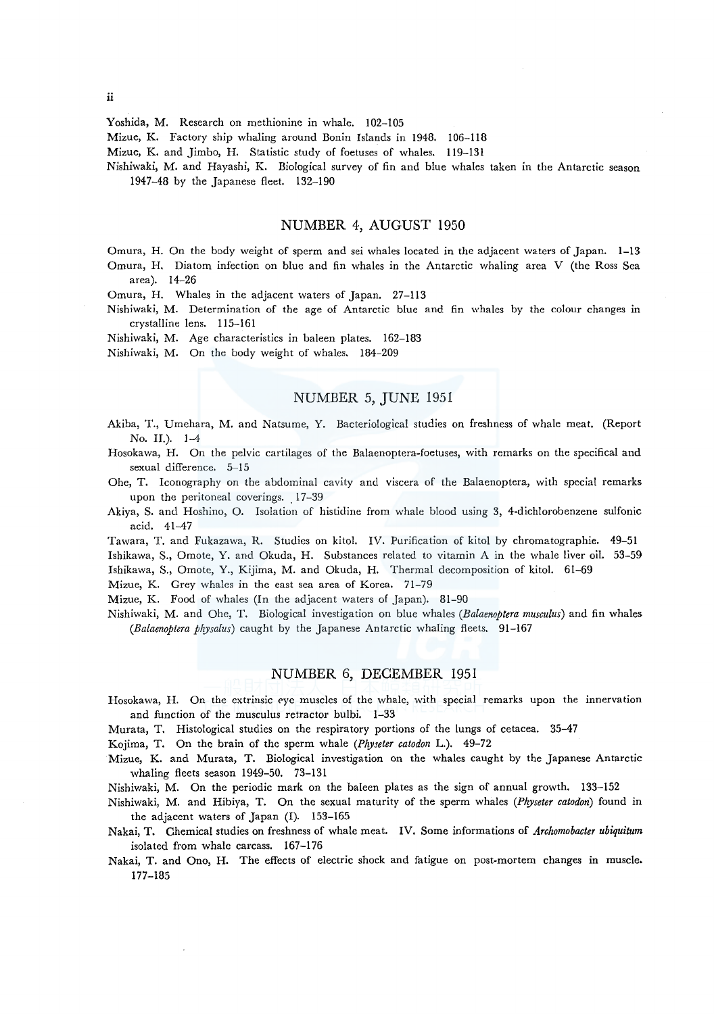Yoshida, M. Research on methionine in whale. 102-105

Mizue, K. Factory ship whaling around Bonin Islands in 1948. 106-118

Mizue, K. and Jimbo, H. Statistic study of foetuses of whales. 119-131

Nishiwaki, M. and Hayashi, K. Biological survey of fin and blue whales taken in the Antarctic season 1947-48 by the Japanese fleet. 132-190

## NUMBER 4, AUGUST 1950

Omura, H. On the body weight of sperm and sei whales located in the adjacent waters of Japan. 1-13 Omura, H. Diatom infection on blue and fin whales in the Antarctic whaling area V (the Ross Sea area). 14-26

Omura, H. Whales in the adjacent waters of Japan. 27-113

Nishiwaki, M. Determination of the age of Antarctic blue and fin whales by the colour changes in crystalline lens. 115-161

Nishiwaki, M. Age characteristics in baleen plates. 162-183

Nishiwaki, M. On the body weight of whales. 184-209

# NUMBER 5, JUNE 1951

Akiba, T., Umehara, M. and Natsume, Y. Bacteriological studies on freshness of whale meat. (Report No. II.). 1-4

Hosokawa, H. On the pelvic cartilages of the Balaenoptera-foetuses, with remarks on the specifical and sexual difference. 5-15

- Ohc, T. Iconography on the abdominal cavity and viscera of the Balaenoptera, with special remarks upon the peritoneal coverings. 17-39
- Akiya, S. and Hoshino, O. Isolation of histidine from whale blood using 3, 4-dichlorobenzene sulfonic acid. 41-47

Tawara, T. and Fukazawa, R. Studies on kitol. IV. Purification of kitol by chromatographie. 49-51 Ishikawa, S., Omote, Y. and Okuda, H. Substances related to vitamin A in the whale liver oil. 53-59 Ishikawa, S., Omote, Y., Kijima, M. and Okuda, H. Thermal decomposition of kitol. 61-69

Mizue, K. Grey whales in the east sea area of Korea. 71-79

Mizue, K. Food of whales (In the adjacent waters of Japan). 81-90

Nishiwaki, M. and Ohe, T. Biological investigation on blue whales *(Balaenoptera musculus)* and fin whales *(Balaenoptera physalus)* caught by the Japanese Antarctic whaling fleets. 91-167

## NUMBER 6, DECEMBER 1951

Hosokawa, H. On the extrinsic eye muscles of the whale, with special remarks upon the innervation and function of the musculus retractor bulbi. 1-33

Murata, T. Histological studies on the respiratory portions of the lungs of cetacea. 35-47

Kojima, T. On the brain of the sperm whale *(Physeter catodon* L.). 49-72

Mizue, K. and Murata, T. Biological investigation on the whales caught by the Japanese Antarctic whaling fleets season 1949-50. 73-131

Nishiwaki, M. On the periodic mark on the baleen plates as the sign of annual growth. 133-152

Nishiwaki, M. and Hibiya, T. On the sexual maturity of the sperm whales *(Physeter catodon)* found in the adjacent waters of Japan (I). 153-165

Nakai, T. Chemical studies on freshness of whale meat. IV. Some informations of *Archomobacter ubiquitum*  isolated from whale carcass. 167-176

Nakai, T. and Ono, H. The effects of electric shock and fatigue on post-mortem changes in muscle. 177-185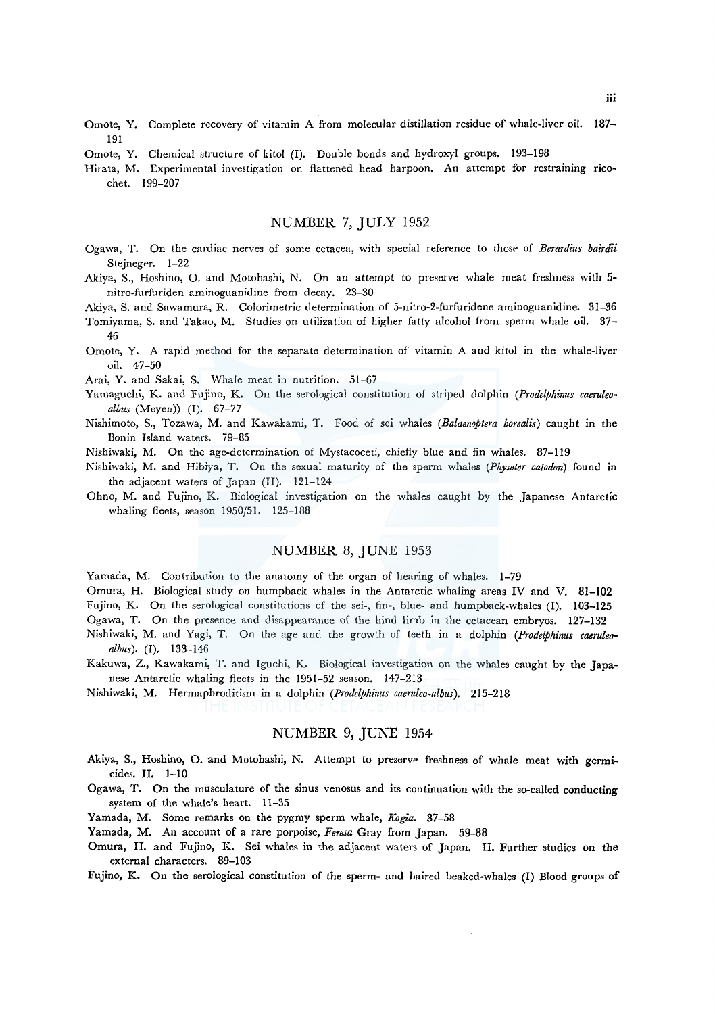- Omote, Y. Complete recovery of vitamin A from molecular distillation residue of whale-liver oil. 187- 191
- Omote, Y. Chemical structure of kitol (I). Double bonds and hydroxyl groups. 193-198
- Hirata, M. Experimental investigation on flattened head harpoon. An attempt for restraining *rico*chet. 199-207

# NUMBER 7, JULY 1952

- Ogawa, T. On the cardiac nerves of some cetacea, with special reference to those of *Berardius bairdii* Stejneger. 1-22
- Akiya, S., Hoshino, O. and Motohashi, N. On an attempt to preserve whale meat freshness with 5 nitro-furfuriden aminoguanidine from decay. 23-30

Akiya, S. and Sawamura, R. Colorimetric determination of 5-nitro-2-furfuridene aminoguanidine. 31-36

Tomiyama, S. and Takao, M. Studies on utilization of higher fatty alcohol from sperm whale oil. 37- 46

Omote, Y. A rapid method for the separate determination of vitamin A and kitol in the whale-liver oil. 47-50

Arai, Y. and Sakai, S. Whale meat in nutrition. 51-67

- Yamaguchi, K. and Fujino, K. On the serological constitution of striped dolphin *(Prodelphinus caeruleoalbus* (Meyen)) (I). 67-77
- Nishimoto, S., Tozawa, M. and Kawakami, T. Food of sei whales *(Balaenoptera borealis)* caught in the Bonin Island waters. 79-85
- Nishiwaki, M. On the age-determination of Mystacoceti, chiefly blue and fin whales. 87-119
- Nishiwaki, M. and Hibiya, T. On the sexual maturity of the sperm whales *(Physeter catodon)* found in the adjacent waters of Japan (II). 121-124
- Ohno, M. and Fujino, K. Biological investigation on the whales caught by the Japanese Antarctic whaling fleets, season 1950/51. 125-188

## NUMBER 8, JUNE 1953

Yamada, M. Contribution to the anatomy of the organ of hearing of whales. 1-79

Omura, H. Biological study on humpback whales in the Antarctic whaling areas IV and V. 81-102 Fujino, K. On the serological constitutions of the sei-, fin-, blue- and humpback-whales (I). 103-125

Ogawa, T. On the presence and disappearance of the hind limb in the cetacean embryos. 127-132

- Nishiwaki, M. and Yagi, T. On the age and the growth of teeth in a dolphin *(Prodelphinus caeruleo· albus).* (I). 133-146
- Kakuwa, Z., Kawakami, T. and Iguchi, K. Biological investigation on the whales caught by the Japanese Antarctic whaling fleets in the 1951-52 season. 147-213
- Nishiwaki, M. Hermaphroditism in a dolphin *(Prodelphinus caeruleo-albus).* 215-218

#### NUMBER 9, JUNE 1954

- Akiya, S., Hoshino, O. and Motohashi, N. Attempt to preserve freshness of whale meat with germicides. II. 1-10
- Ogawa, T. On the musculature of the sinus venosus and its continuation with the so-called conducting system of the whale's heart. 11-35
- Yamada, M. Some remarks on the pygmy sperm whale, *Kogia.* 37-58
- Yamada, M. An account of a rare porpoise, *Feresa* Gray from Japan. 59-88
- Omura, H. and Fujino, K. Sei whales in the adjacent waters of Japan. II. Further studies on the external characters. 89-103

Fujino, K. On the serological constitution of the sperm- and baired beaked-whales (I) Blood groups of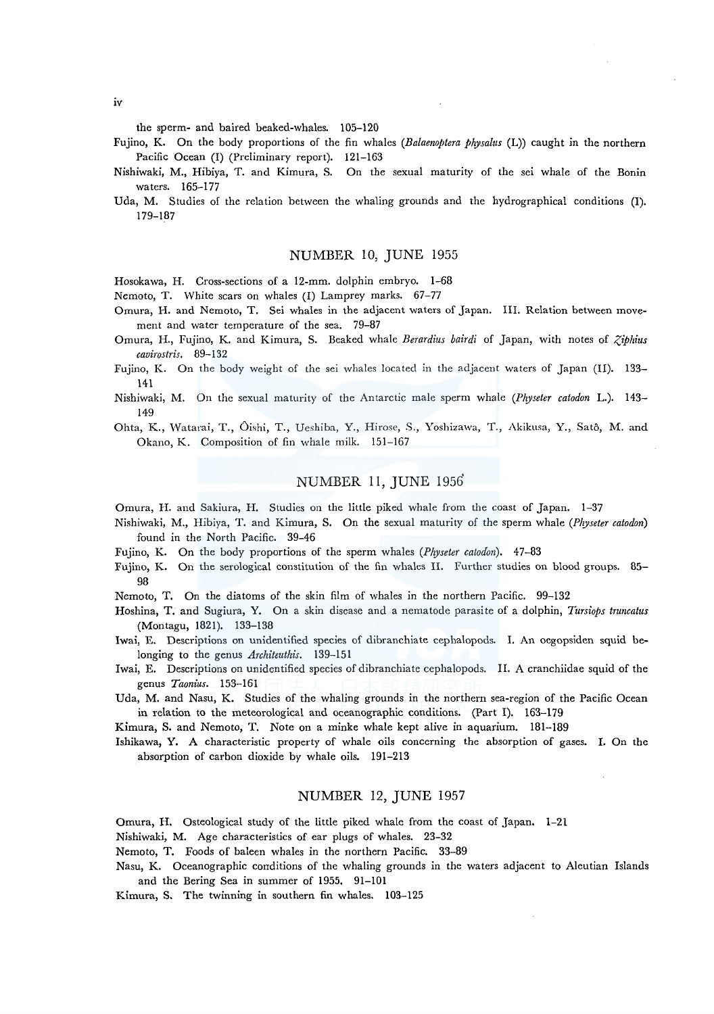the sperm- and haired beaked-whales. 105-120

- Fujino, K. On the body proportions of the fin whales *(Balaenoptera physalus* (L)) caught in the northern Pacific Ocean (I) (Preliminary report). 121-163
- Nishiwaki, M., Hibiya, T. and Kimura, S. On the sexual maturity of the sei whale of the Bonin waters. 165-177
- Uda, M. Studies of the relation between the whaling grounds and the hydrographical conditions (I). 179-187

#### NUMBER 10, JUNE 1955

Hosokawa, H. Cross-sections of a 12-mm. dolphin embryo. 1-68

- Nemoto, T. White scars on whales (I) Lamprey marks. 67-77
- Omura, H. and Nemoto, T. Sei whales in the adjacent waters of Japan. III. Relation between movement and water temperature of the sea. 79-87
- Omura, H., Fujino, K. and Kimura, S. Beaked whale *Berardius bairdi* of Japan, with notes of *Zibhius cavirostris.* 89-132
- Fujino, K. On the body weight of the sei whales located in the adjacent waters of Japan (II). 133- 141
- Nishiwaki, M. On the sexual maturity of the Antarctic male sperm whale *(Physeter catodon* L.). 143- 149
- Ohta, K., Watarai, T., Oishi, T., Ueshiba, Y., Hirose, S., Yoshizawa, T., Akikusa, Y., Satô, M. and Okano, K. Composition of fin whale milk. 151-167

# NUMBER 11, JUNE 1956

Omura, H. and Sakiura, H. Studies on the little piked whale from the coast of Japan. 1-37

- Nishiwaki, M., Hibiya, T. and Kimura, S. On the sexual maturity of the sperm whale *(Plryseter catodon)*  found in the North Pacific. 39-46
- Fujino, K. On the body proportions of the sperm whales *(Physeter catodon).* 47-83
- Fujino, K. On the serological constitution of the fin whales II. Further studies on blood groups. 85- 98

Nemoto, T. On the diatoms of the skin film of whales in the northern Pacific. 99-132

- Hoshina, T. and Sugiura, Y. On a skin disease and a nematode parasite of a dolphin, *Tursiops truncatus*  (Montagu, 1821). 133-138
- Iwai, E. Descriptions on unidentified species of dibranchiate cephalopods. I. An oegopsiden squid belonging to the genus *Architeuthis.* 139-151
- Iwai, E. Descriptions on unidentified species of dibranchiate cephalopods. II. A cranchiidae squid of the genus *Taonius.* 153-161
- Uda, M. and Nasu, K. Studies of the whaling grounds in the northern sea-region of the Pacific Ocean in relation to the meteorological and oceanographic conditions. (Part I). 163-179

Kimura, S. and Nemoto, T. Note on a minke whale kept alive in aquarium. 181-189

Ishikawa, Y. A characteristic property of whale oils concerning the absorption of gases. I. On the absorption of carbon dioxide by whale oils. 191-213

#### NUMBER 12, JUNE 1957

Omura, H. Osteological study of the little piked whale from the coast of Japan. 1-21

Nishiwaki, M. Age characteristics of ear plugs of whales. 23-32

Nemoto, T. Foods of baleen whales in the northern Pacific. 33-89

Nasu, K. Oceanographic conditions of the whaling grounds in the waters adjacent to Aleutian Islands and the Bering Sea in summer of 1955. 91-101

Kimura, S. The twinning in southern fin whales. 103-125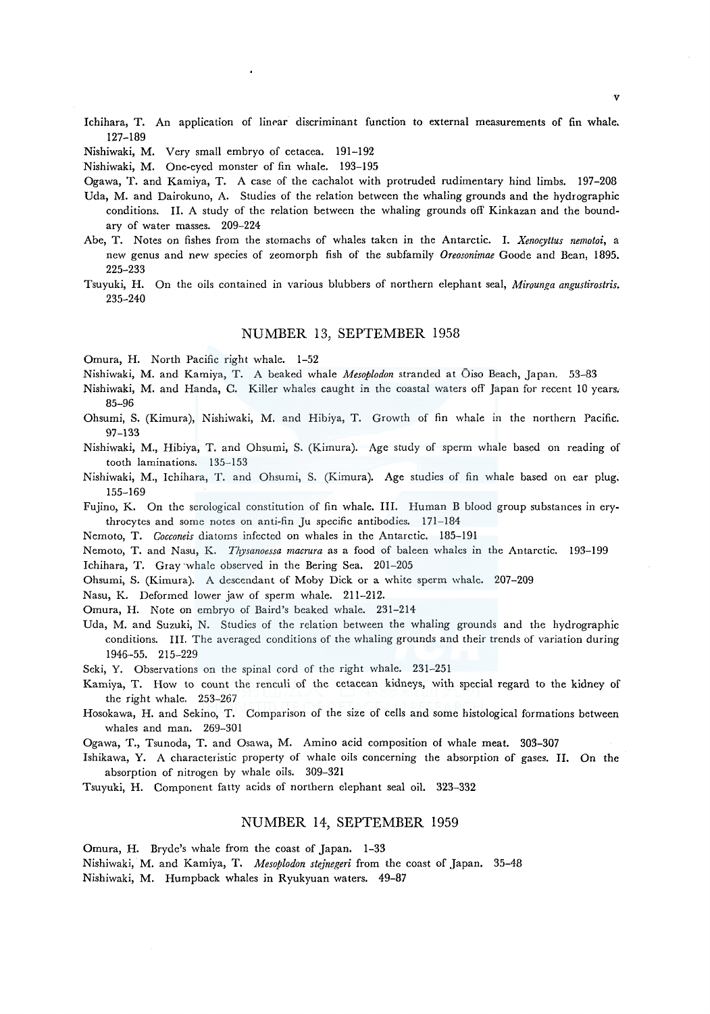- Ichihara, T. An application of linear discriminant function to external measurements of fin whale. 127-189
- Nishiwaki, M. Very small embryo of cetacea. 191-192

Nishiwaki, M. One-eyed monster of fin whale. 193-195

Ogawa, T. and Kamiya, T. A case of the cachalot with protruded rudimentary hind limbs. 197-208

- Uda, M. and Dairokuno, A. Studies of the relation between the whaling grounds and the hydrographic conditions. II. A study of the relation between the whaling grounds off Kinkazan and the boundary of water masses. 209-224
- Abe, T. Notes on fishes from the stomachs of whales taken in the Antarctic. I. *Xenocyttus nemotoi,* a new genus and new species of zeomorph fish of the subfamily *Oreosonimae* Goode and Bean, 1895. 225-233
- Tsuyuki, H. On the oils contained in various blubbers of northern elephant seal, *Mirounga angustirostris.*  235-240

#### NUMBER 13, SEPTEMBER 1958

Omura, H. North Pacific right whale. 1-52

- Nishiwaki, M. and Kamiya, T. A beaked whale *Mesoplodon* stranded at Oiso Beach, Japan. 53-83
- Nishiwaki, M. and Randa, C. Killer whales caught in the coastal waters off Japan for recent 10 years. 85-96
- Ohsumi, S. (Kimura), Nishiwaki, M. and Hibiya, T. Growth of fin whale in the northern Pacific. 97-133
- Nishiwaki, M., Hibiya, T. and Ohsumi, S. (Kimura). Age study of sperm whale based on reading of tooth laminations. 135-153
- Nishiwaki, M., Ichihara, T. and Ohsumi, S. (Kimura). Age studies of fin whale based on ear plug. 155-169

Fujino, K. On the serological constitution of fin whale. III. Human B blood group substances in erythrocytes and some notes on anti-fin Ju specific antibodies. 171-184

Nemoto, T. *Cocconeis* diatoms infected on whales in the Antarctic. 185-191

Nemoto, T. and Nasu, K. *Thysanoessa macrura* as a food of baleen whales in the Antarctic. 193-199

Ichihara, T. Gray 'whale observed in the Bering Sea. 201-205

Ohsumi, S. (Kimura). A descendant of Moby Dick or a white sperm whale. 207-209

Nasu, K. Deformed lower jaw of sperm whale. 211-212.

Omura, H. Note on embryo of Baird's beaked whale. 231-214

Uda, M. and Suzuki, N. Studies of the relation between the whaling grounds and the hydrographic conditions. III. The averaged conditions of the whaling grounds and their trends of variation during 1946-55. 215-229

Seki, Y. Observations on the spinal cord of the right whale. 231-251

- Kamiya, T. How to count the renculi of the cetacean kidneys, with special regard to the kidney of the right whale. 253-267
- Hosokawa, H. and Sekino, T. Comparison of the size of cells and some histological formations between whales and man. 269-301

Ogawa, T., Tsunoda, T. and Osawa, M. Amino acid composition of whale meat. 303-307

Ishikawa, Y. A characteristic property of whale oils concerning the absorption of gases. II. On the absorption of nitrogen by whale oils. 309-321

Tsuyuki, H. Component fatty acids of northern elephant seal oil. 323-332

## NUMBER 14, SEPTEMBER 1959

Omura, H. Bryde's whale from the coast of Japan. 1-33

Nishiwaki, M. and Kamiya, T. *Mesoplodon stejnegeri* from the coast of Japan. 35-48

Nishiwaki, M. Humpback whales *in* Ryukyuan waters. 49-87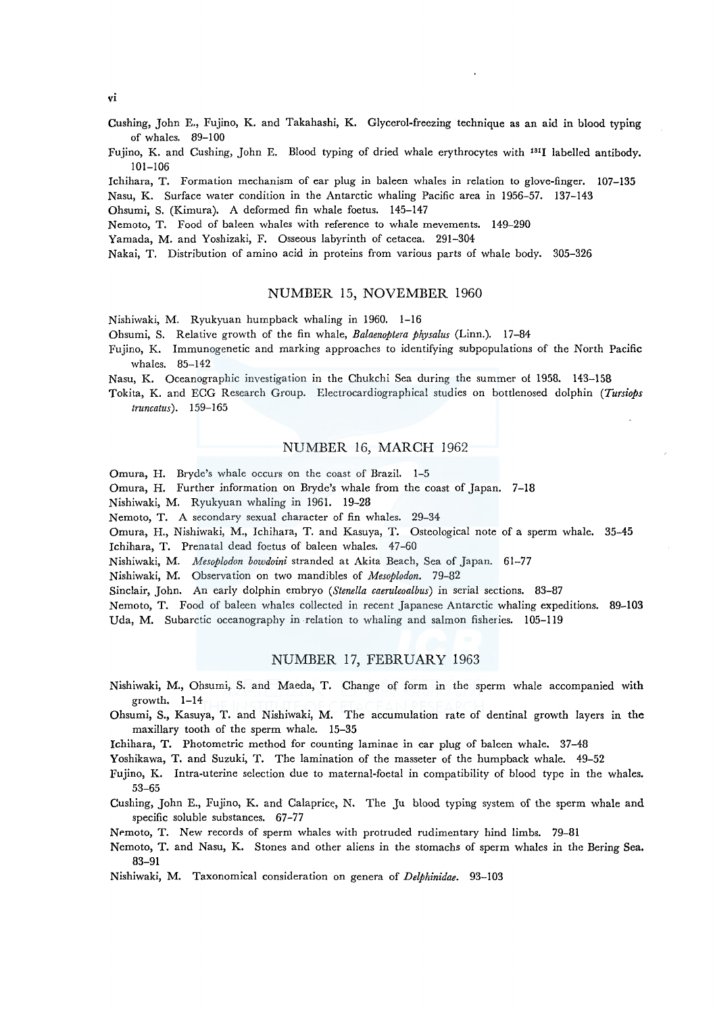*vi* 

- Cushing, John E., Fujino, K. and Takahashi, K. Glycerol-freezing technique as an aid in blood typing of whales. 89-100
- Fujino, K. and Cushing, John E. Blood typing of dried whale erythrocytes with 1311 labelled antibody. 101-106

lchihara, T. Formation mechanism of ear plug in baleen whales in relation to glove-finger. 107-135 Nasu, K. Surface water condition in the Antarctic whaling Pacific area in 1956-57. 137-143

Ohsumi, S. (Kimura). A deformed fin whale foetus. 145-147

Nemoto, T. Food of baleen whales with reference to whale mevements. 149-290

Yamada, M. and Yoshizaki, F. Osseous labyrinth of cetacea. 291-304

Nakai, T. Distribution of amino acid in proteins from various parts of whale body. 305-326

#### NUMBER 15, NOVEMBER 1960

Nishiwaki, M. Ryukyuan humpback whaling in 1960. 1-16

Ohsumi, S. Relative growth of the fin whale, *Balaenoptera physalus* (Linn.). 17-84

Fujino, K. Immunogenetic and marking approaches to identifying subpopulations of the North Pacific whales. 85-142

Nasu, K. Oceanographic investigation in the Chukchi Sea during the summer of 1958. 143-158

Tokita, K. and ECG Research Group. Electrocardiographical studies on bottlenosed dolphin *(Tursiops truncatus* ). 159-165

## NUMBER 16, MARCH 1962

Omura, H. Bryde's whale occurs on the coast of Brazil. 1-5

Omura, H. Further information on Bryde's whale from the coast of Japan. 7-18

Nishiwaki, M. Ryukyuan whaling in 1961. 19-28

Nemoto, T. A secondary sexual character of fin whales. 29-34

Omura, H., Nishiwaki, M., Ichihara, T. and Kasuya, T. Osteological note of a sperm whale. 35-45

Jchihara, T. Prenatal dead foetus of baleen whales. 47-60

Nishiwaki, M. *Mesoplodon bowdoini* stranded at Akita Beach, Sea of Japan. 61-77

Nishiwaki, M. Observation on two mandibles of *Mesoplodon.* 79-82

Sinclair, John. An early dolphin embryo *(Stenella caeruleoalbus)* in serial sections. 83-87

Nemoto, T. Food of baleen whales collected in recent Japanese Antarctic whaling expeditions. 89-103 Uda, M. Subarctic oceanography in relation to whaling and salmon fisheries. 105-119

## NUMBER 17, FEBRUARY 1963

- Nishiwaki, M., Ohsumi, S. and Maeda, T. Change of form in the sperm whale accompanied with growth. 1-14
- Ohsumi, S., Kasuya, T. and Nishiwaki, M. The accumulation rate of dentinal growth layers in the maxillary tooth of the sperm whale. 15-35

Ichihara, T. Photometric method for counting laminae in ear plug of baleen whale. 37-48

Yoshikawa, T. and Suzuki, T. The lamination of the masseter of the humpback whale. 49-52

Fujino, K. Intra-uterine selection due to maternal-foetal in compatibility of blood type in the whales. 53-65

Cushing, John E., Fujino, K. and Calaprice, N. The Ju blood typing system of the sperm whale and specific soluble substances. 67-77

Nemoto, T. New records of sperm whales with protruded rudimentary hind limbs. 79-81

Nemoto, T. and Nasu, K. Stones and other aliens in the stomachs of sperm whales in the Bering Sea, 83-91

Nishiwaki, M. Taxonomical consideration on genera of *Delphinidae.* 93-103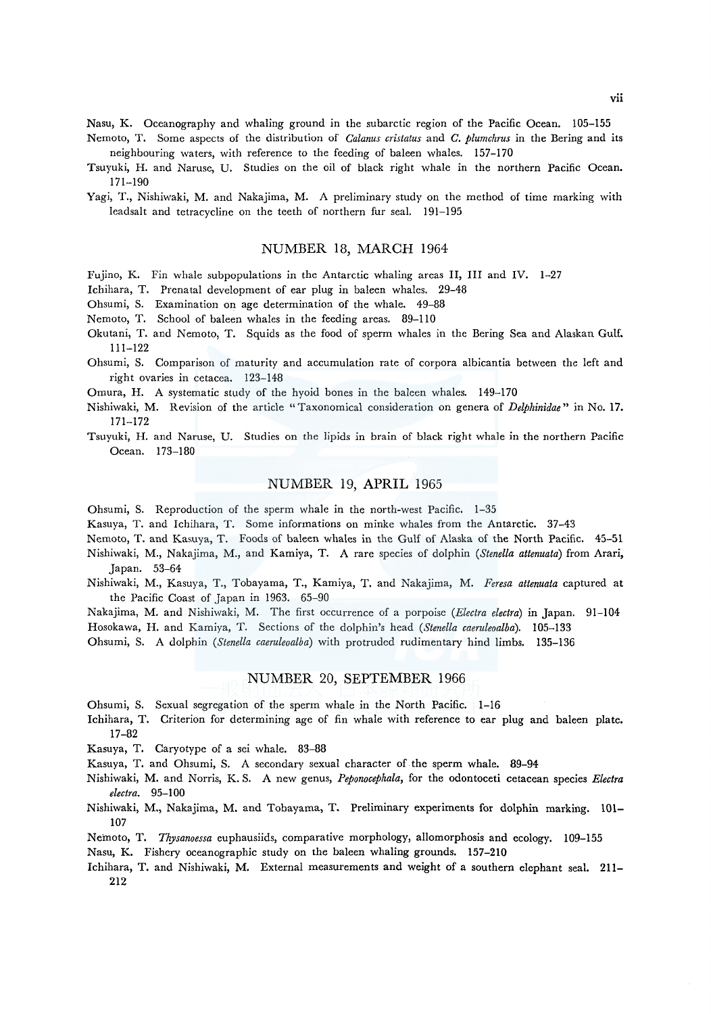Nasu, K. Oceanography and whaling ground in the subarctic region of the Pacific Ocean. 105-155

- Nemoto, T. Some aspects of the distribution of *Calanus cristatus* and *C. plumchrus* in the Bering and its neighbouring waters, with reference to the feeding of baleen whales. 157-170
- Tsuyuki, H. and Naruse, U. Studies on the oil of black right whale in the northern Pacific Ocean. 171-190
- Yagi, T., Nishiwaki, M. and Nakajima, M. A preliminary study on the method of time marking with leadsalt and tetracycline on the teeth of northern fur seal. 191-195

#### NUMBER 18, MARCH 1964

Fujino, K. Fin whale subpopulations in the Antarctic whaling areas II, III and IV. 1-27

Ichihara, T. Prenatal development of ear plug in baleen whales. 29-48

- Ohsumi, S. Examination on age determination of the whale. 49-88
- Nemoto, T. School of baleen whales in the feeding areas. 89-110
- Okutani, T. and Nemoto, T. Squids as the food of sperm whales in the Bering Sea and Alaskan Gulf. 111-122
- Ohsumi, S. Comparison of maturity and accumulation rate of corpora albicantia between the left and right ovaries in cetacea. 123-148
- Omura, H. A systematic study of the hyoid bones in the baleen whales. 149-170
- Nishiwaki, M. Revision of the article "Taxonomical consideration on genera of *Delphinidae"* in No. 17. 171-172
- Tsuyuki, H. and Naruse, U. Studies on the lipids in brain of black right whale in the northern Pacific Ocean. 173-180

#### NUMBER 19, APRIL 1965

Ohsumi, S. Reproduction of the sperm whale in the north-west Pacific. 1-35

Kasuya, T. and Ichihara, T. Some informations on minke whales from the Antarctic. 37-43

Nemoto, T. and Kasuya, T. Foods of baleen whales in the Gulf of Alaska of the North Pacific. 45-51

- Nishiwaki, M., Nakajima, M., and Kamiya, T. A rare species of dolphin *(Stenella attenuata)* from Arari, Japan. 53-64
- Nishiwaki, M., Kasuya, T., Tobayama, T., Kamiya, T. and Nakajima, M. *Feresa attenuata* captured at the Pacific Coast of Japan in 1963. 65-90

Nakajima, M. and Nishiwaki, M. The first occurrence of a porpoise *(Electra electra)* in Japan. 91-104 Hosokawa, H. and Kamiya, T. Sections of the dolphin's head *(Stenella caeruleoalba).* 105-133

Ohsumi, S. A dolphin *(Stenella caeruleoalba)* with protruded rudimentary hind limbs. 135-136

## NUMBER 20, SEPTEMBER 1966

Ohsumi, S. Sexual segregation of the sperm whale in the North Pacific. 1-16

- Ichihara, T. Criterion for determining age of fin whale with reference to ear plug and baleen plate. 17-82
- Kasuya, T. Caryotype of a sei whale. 83-88
- Kasuya, T. and Ohsumi, S. A secondary sexual character of. the sperm whale. 89-94
- Nishiwaki, M. and Norris, K. S. A new genus, *Peponocephala,* for the odontoceti cetacean species *Electra electra.* 95-100
- Nishiwaki, M., Nakajima, M. and Tobayama, T. Preliminary experiments for dolphin marking. 101- 107
- Neinoto, T. *Thysanoessa* euphausiids, comparative morphology, allomorphosis and ecology. 109-155

Nasu, K. Fishery oceanographic study on the baleen whaling grounds. 157-210

Ichihara, T. and Nishiwaki, M. External measurements and weight of a southern elephant seal. 211- 212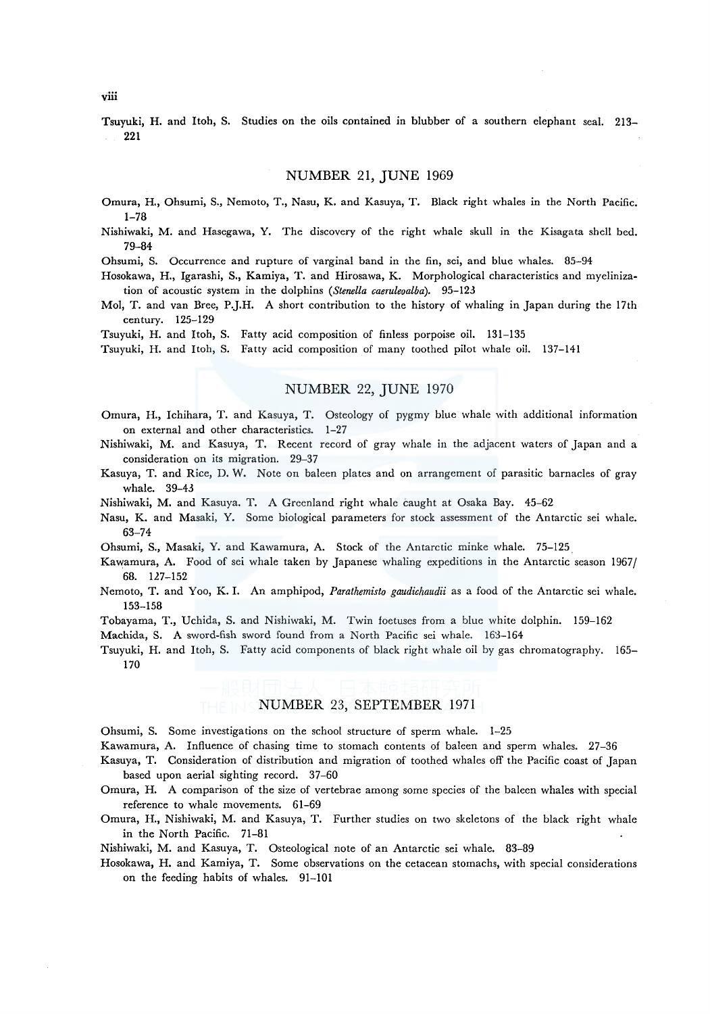Tsuyuki, H. and Itoh, S. Studies on the oils contained in blubber of a southern elephant seal. 213- 221

## NUMBER 21, JUNE 1969

- Omura, H., Ohsumi, S., Nemoto, T., Nasu, K. and Kasuya, T. Black right whales in the North Pacific. 1-78
- Nishiwaki, M. and Hasegawa, Y. The discovery of the right whale skull in the Kisagata shell bed. 79-84

Ohsumi, S. Occurrence and rupture of varginal band in the fin, sei, and blue whales. 85-94

Hosokawa, H., Igarashi, S., Kamiya, T. and Hirosawa, K. Morphological characteristics and myelinization of acoustic system in the dolphins *(Stenella caeruleoalba).* 95-123

Mol, T. and van Bree, P.J.H. A short contribution to the history of whaling in Japan during the 17th century. 125-129

Tsuyuki, H. and Itoh, S. Fatty acid composition of finless porpoise oil. 131-135

Tsuyuki, H. and Itoh, S. Fatty acid composition of many toothed pilot whale oil. 137-141

# NUMBER 22, JUNE 1970

- Omura, H., Ichihara, T. and Kasuya, T. Osteology of pygmy blue whale with additional information on external and other characteristics. 1-27
- Nishiwaki, M. and Kasuya, T. Recent record of gray whale in the adjacent waters of Japan and a consideration on its migration. 29-37
- Kasuya, T. and Rice, D. W. Note on baleen plates and on arrangement of parasitic barnacles of gray whale. 39-43
- Nishiwaki, M. and Kasuya. T. A Greenland right whale caught at Osaka Bay. 45-62
- Nasu, K. and Masaki, Y. Some biological parameters for stock assessment of the Antarctic sei whale. 63-74
- Ohsumi, S., Masaki, Y. and Kawamura, A. Stock of the Antarctic minke whale. 75-125.
- Kawamura, A. Food of sei whale taken by Japanese whaling expeditions in the Antarctic season 1967/ 68. 127-152
- Nemoto, T. and Yoo, K. I. An amphipod, *Parathemisto gaudichaudii* as a food of the Antarctic sei whale. 153-158
- Tobayama, T., Uchida, S. and Nishiwaki, M. Twin foetuses from a blue white dolphin. 159-162

Machida, S. A sword-fish sword found from a North Pacific sei whale. 163-164

Tsuyuki, H. and Itoh, S. Fatty acid components of black right whale oil by gas chromatography. 165- 170

## NUMBER 23, SEPTEMBER 1971

Ohsumi, S. Some investigations on the school structure of sperm whale. 1-25

Kawamura, A. Influence of chasing time to stomach contents of baleen and sperm whales. 27-36

- Kasuya, T. Consideration of distribution and migration of toothed whales off the Pacific coast of Japan based upon aerial sighting record. 37-60
- Omura, H. A comparison of the size of vertebrae among some species of the baleen whales with special reference to whale movements. 61-69
- Omura, H., Nishiwaki, M. and Kasuya, T. Further studies on two skeletons of the black right whale in the North Pacific. 71-81

Nishiwaki, M. and Kasuya, T. Osteological note of an Antarctic sei whale. 83-89

Hosokawa, H. and Kamiya, T. Some observations on the cetacean stomachs, with special considerations on the feeding habits of whales. 91-101

viii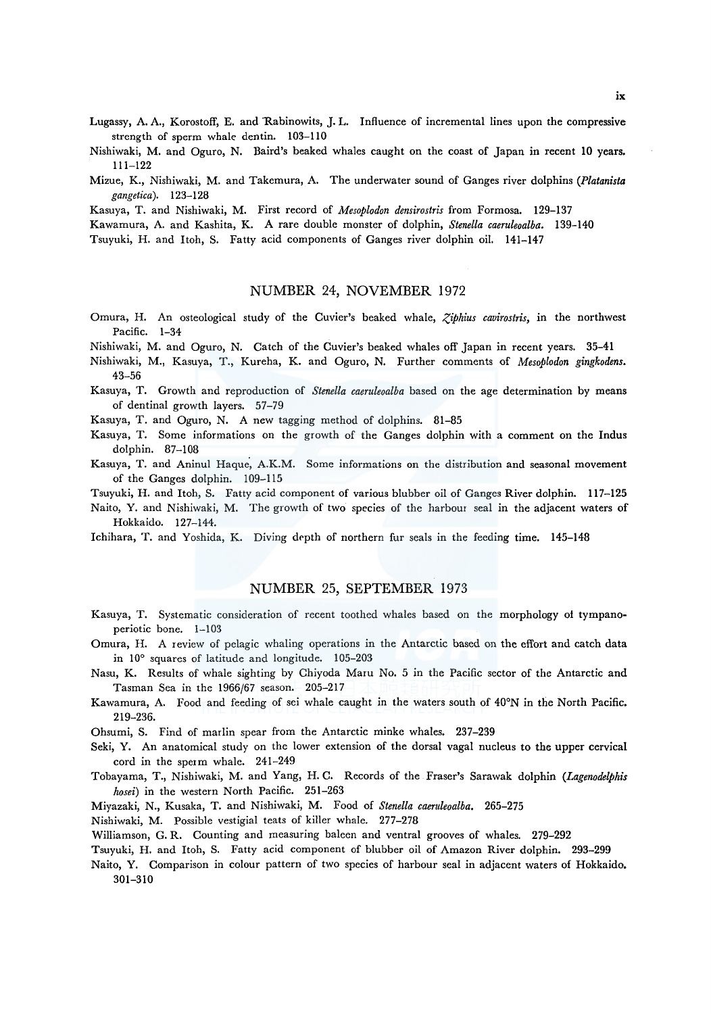- Lugassy, A. A., Korostoff, E. and Rabinowits, J. L. Influence of incremental lines upon the compressive strength of sperm whale dentin. 103-110
- Nishiwaki, M. and Oguro, N. Baird's beaked whales caught on the coast of Japan in recent 10 years. 111-122
- Mizue, K., Nishiwaki, M. and Takemura, A. The underwater sound of Ganges river dolphins *(Platanista gangetica* ). 123-128

Kasuya, T. and Nishiwaki, M. First record of *Mesoplodon densirostris* from Formosa. 129-137

Kawamura, A. and Kashita, K. A rare double monster of dolphin, *Stenella caeruleoalba.* 139-140

Tsuyuki, H. and Itoh, S. Fatty acid components of Ganges river dolphin oil. 141-147

# NUMBER 24, NOVEMBER 1972

Omura, H. An osteological study of the Cuvier's beaked whale, *Ziphius cavirostris*, in the northwest Pacific. 1-34

Nishiwaki, M. and Oguro, N. Catch of the Cuvier's beaked whales off Japan in recent years. 35-41

- Nishiwaki, M., Kasuya, T., Kureha, K. and Oguro, N. Further comments of *Mesoplodon gingkodens.*  43-56
- Kasuya, T. Growth and reproduction of *Stenella caeruleoalba* based on the age determination by means of dentinal growth layers. 57-79

Kasuya, T. and Oguro, N. A new tagging method of dolphins. 81-85

- Kasuya, T. Some informations on the growth of the Ganges dolphin with a comment on the Indus dolphin. 87-108
- Kasuya, T. and Aninul Haque, A.K.M. Some informations on the distribution and seasonal movement of the Ganges dolphin. 109-115

Tsuyuki, H. and ltoh, S. Fatty acid component of various blubber oil of Ganges River dolphin. 117-125

Naito, Y. and Nishiwaki, M. The growth of two species of the harbour seal in the adjacent waters of Hokkaido. 127-144.

Ichihara, T. and Yoshida, K. Diving depth of northern fur seals in the feeding time. 145-148

## NUMBER 25, SEPTEMBER 1973

- Kasuya, T. Systematic consideration of recent toothed whales based on the morphology of tympanoperiotic bone. 1-103
- Omura, H. A review of pelagic whaling operations in the Antarctic based on the effort and catch data in 10° squares of latitude and longitude. 105-203
- Nasu, K. Results of whale sighting by Chiyoda Mam No. 5 in the Pacific sector of the Antarctic and Tasman Sea in the 1966/67 season. 205-217
- Kawamura, A. Food and feeding of sei whale caught in the waters south of 40°N in the North Pacific. 219-236.
- Ohsumi, S. Find of marlin spear from the Antarctic minke whales. 237-239
- Seki, Y. An anatomical study on the lower extension of the dorsal vagal nucleus to the upper cervical cord in the sperm whale. 241-249
- Tobayama, T., Nishiwaki, M. and Yang, H. C. Records of the Fraser's Sarawak dolphin *(Lagenodelphis hosei)* in the western North Pacific. 251-263

Miyazaki, N., Kusaka, T. and Nishiwaki, M. Food of *Stenella caeruleoalba.* 265-275

Nishiwaki, M. Possible vestigial teats of killer whale. 277-278

Williamson, G. R. Counting and measuring baleen and ventral grooves of whales. 279-292

Tsuyuki, H. and ltoh, S. Fatty acid component of blubber oil of Amazon River dolphin. 293-299

Naito, Y. Comparison in colour pattern of two species of harbour seal in adjacent waters of Hokkaido. 301-310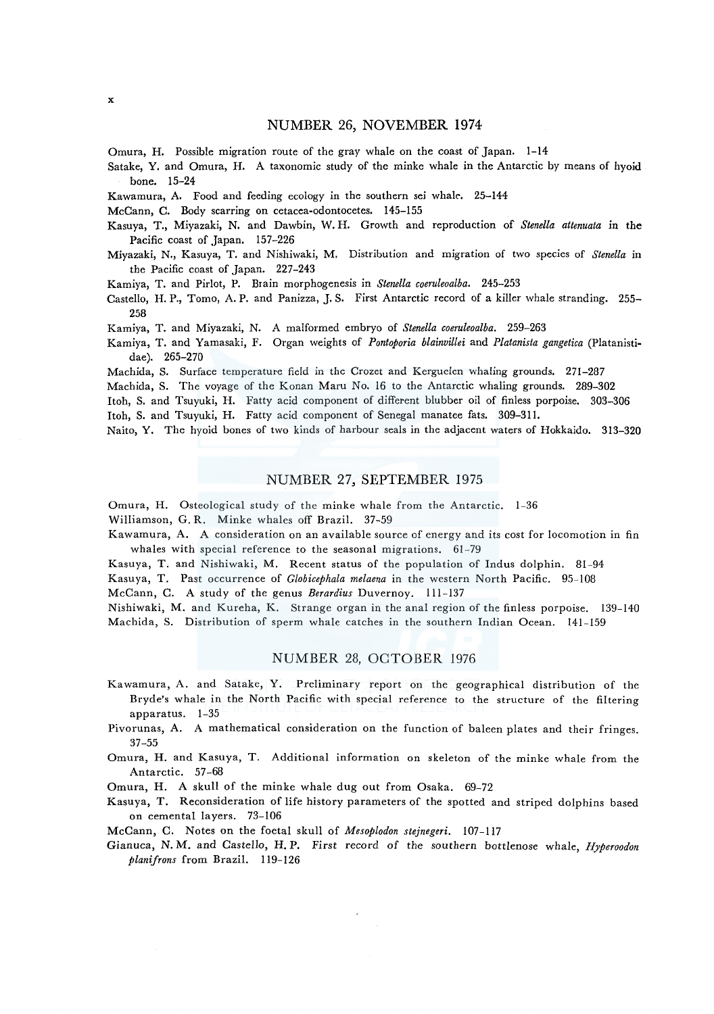## NUMBER 26, NOVEMBER 1974

Omura, H. Possible migration route of the gray whale on the coast of Japan. 1-14

Satake, Y. and Omura, H. A taxonomic study of the minke whale in the Antarctic by means of hyoid bone. 15-24

Kawamura, A. Food and feeding ecology in the southern sei whale. 25-144

McCann, C. Body scarring on cetacea-odontocetes. 145-155

- Kasuya, T., Miyazaki, N. and Dawbin, W. H. Growth and reproduction of *Stene/la attenuata* in the Pacific coast of Japan. 157-226
- Miyazaki, N., Kasuya, T. and Nishiwaki, M. Distribution and migration of two species of *Stene/la* in the Pacific coast of Japan. 227-243
- Kamiya, T. and Pirlot, P. Brain morphogenesis in *Stene/la coeruleoalba.* 245-253
- Castello, H. P., Tomo, A. P. and Panizza, J. S. First Antarctic record of a killer whale stranding. 255-258

Kamiya, T. and Miyazaki, N. A malformed embryo of *Stenella coeruleoalba.* 259-263

Kamiya, T. and Yamasaki, F. Organ weights of *Pontoporia blainvillei* and *Platanista gangetica* (Platanistidae). 265-270

Machida, S. Surface temperature field in the Crozet and Kerguelen whaling grounds. 271-287

Machida, S. The voyage of the Konan Maru No. 16 to the Antarctic whaling grounds. 289-302

Itoh, S. and Tsuyuki, H. Fatty acid component of different blubber oil of finless porpoise. 303-306

Itoh, S. and Tsuyuki, H. Fatty acid component of Senegal manatee fats. 309-311.

Naito, Y. The hyoid bones of two kinds of harbour seals in the adjacent waters of Hokkaido. 313-320

# NUMBER 27, SEPTEMBER 1975

Omura, H. Osteological study of the minke whale from the Antarctic. 1-36

Williamson, G. R. Minke whales off Brazil. 37-59

Kawamura, A. A consideration on an available source of energy and its cost for locomotion in fin whales with special reference to the seasonal migrations. 61-79

Kasuya, T. and Nishiwaki, M. Recent status of the population of Indus dolphin. 81-94

Kasuya, T. Past occurrence of *Globicephala melaena* in the western North Pacific. 95-108

McCann, C. A study of the genus *Berardius* Duvernoy. 111-137

Nishiwaki, M. and Kureha, K. Strange organ in the anal region of the finless porpoise. 139-140 Machida, S. Distribution of sperm whale catches in the southern Indian Ocean. 141-159

## NUMBER 28, OCTOBER 1976

Kawamura, A. and Satake, Y. Preliminary report on the geographical distribution of the Bryde's whale in the North Pacific with special reference to the structure of the filtering apparatus. 1-35

Pivorunas, A. A mathematical consideration on the function of baleen plates and their fringes. 37-55

Omura, H. and Kasuya, T. Additional information on skeleton of the minke whale from the Antarctic. 57-68

Omura, H. A skull of the minke whale dug out from Osaka. 69-72

Kasuya, T. Reconsideration of life history parameters of the spotted and striped dolphins based on cemental layers. 73-106

McCann, C. Notes on the foetal skull of *Mesoplodon stejnegeri.* 107-117

Gianuca, N. M. and Castello, H.P. First record of the southern bottlenose whale, *Hyperoodon planifrons* from Brazil. 119-126